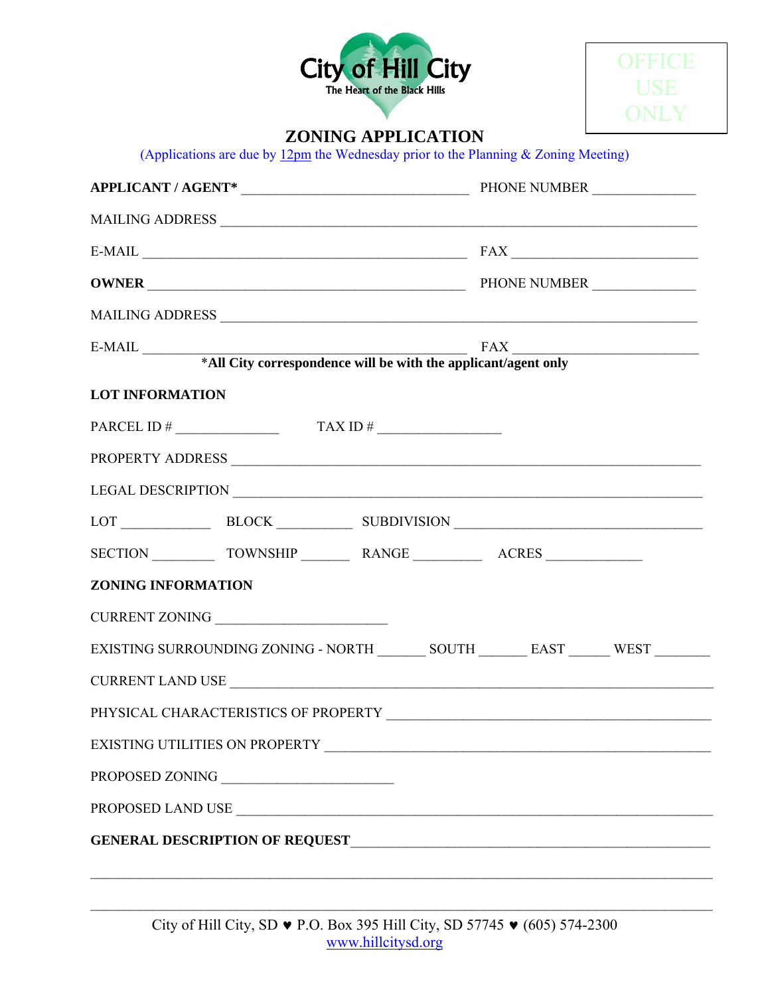



## **ZONING APPLICATION**

(Applications are due by  $12 \text{pm}$  the Wednesday prior to the Planning & Zoning Meeting)

| $E-MAIL$ $\overline{\phantom{xxx}}$ |                 |                                      |                                                                                       |  |  |
|-------------------------------------|-----------------|--------------------------------------|---------------------------------------------------------------------------------------|--|--|
|                                     |                 |                                      |                                                                                       |  |  |
|                                     |                 |                                      |                                                                                       |  |  |
|                                     |                 |                                      |                                                                                       |  |  |
|                                     |                 |                                      |                                                                                       |  |  |
| <b>LOT INFORMATION</b>              |                 |                                      |                                                                                       |  |  |
|                                     |                 | PARCEL ID # $\qquad \qquad$ TAX ID # |                                                                                       |  |  |
|                                     |                 |                                      |                                                                                       |  |  |
|                                     |                 |                                      |                                                                                       |  |  |
|                                     |                 |                                      | LOT BLOCK BLOCK SUBDIVISION                                                           |  |  |
|                                     |                 |                                      |                                                                                       |  |  |
| <b>ZONING INFORMATION</b>           |                 |                                      |                                                                                       |  |  |
|                                     | CURRENT ZONING  |                                      |                                                                                       |  |  |
|                                     |                 |                                      | EXISTING SURROUNDING ZONING - NORTH ________ SOUTH ________ EAST _______ WEST _______ |  |  |
|                                     |                 |                                      |                                                                                       |  |  |
|                                     |                 |                                      |                                                                                       |  |  |
|                                     |                 |                                      | EXISTING UTILITIES ON PROPERTY NAMES AND THE SERIES OF PROPERTY                       |  |  |
|                                     |                 |                                      |                                                                                       |  |  |
|                                     | PROPOSED ZONING |                                      |                                                                                       |  |  |
|                                     |                 |                                      | PROPOSED LAND USE                                                                     |  |  |

 $\mathcal{L}_\mathcal{L} = \mathcal{L}_\mathcal{L} = \mathcal{L}_\mathcal{L} = \mathcal{L}_\mathcal{L} = \mathcal{L}_\mathcal{L} = \mathcal{L}_\mathcal{L} = \mathcal{L}_\mathcal{L} = \mathcal{L}_\mathcal{L} = \mathcal{L}_\mathcal{L} = \mathcal{L}_\mathcal{L} = \mathcal{L}_\mathcal{L} = \mathcal{L}_\mathcal{L} = \mathcal{L}_\mathcal{L} = \mathcal{L}_\mathcal{L} = \mathcal{L}_\mathcal{L} = \mathcal{L}_\mathcal{L} = \mathcal{L}_\mathcal{L}$